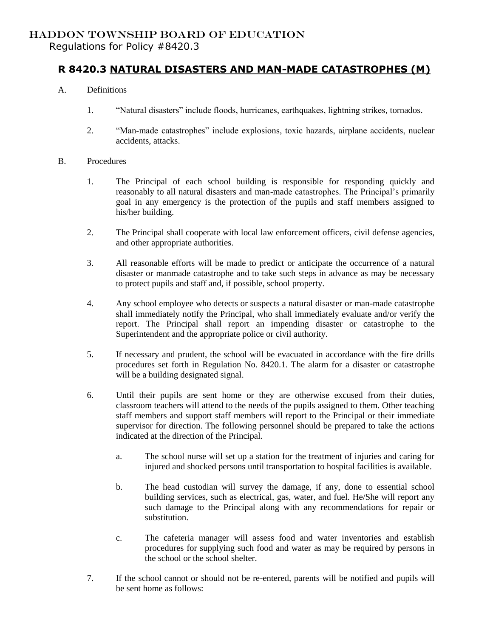## HADDON TOWNSHIP BOARD OF EDUCATION Regulations for Policy #8420.3

## **R 8420.3 NATURAL DISASTERS AND MAN-MADE CATASTROPHES (M)**

- A. Definitions
	- 1. "Natural disasters" include floods, hurricanes, earthquakes, lightning strikes, tornados.
	- 2. "Man-made catastrophes" include explosions, toxic hazards, airplane accidents, nuclear accidents, attacks.
- B. Procedures
	- 1. The Principal of each school building is responsible for responding quickly and reasonably to all natural disasters and man-made catastrophes. The Principal's primarily goal in any emergency is the protection of the pupils and staff members assigned to his/her building.
	- 2. The Principal shall cooperate with local law enforcement officers, civil defense agencies, and other appropriate authorities.
	- 3. All reasonable efforts will be made to predict or anticipate the occurrence of a natural disaster or manmade catastrophe and to take such steps in advance as may be necessary to protect pupils and staff and, if possible, school property.
	- 4. Any school employee who detects or suspects a natural disaster or man-made catastrophe shall immediately notify the Principal, who shall immediately evaluate and/or verify the report. The Principal shall report an impending disaster or catastrophe to the Superintendent and the appropriate police or civil authority.
	- 5. If necessary and prudent, the school will be evacuated in accordance with the fire drills procedures set forth in Regulation No. 8420.1. The alarm for a disaster or catastrophe will be a building designated signal.
	- 6. Until their pupils are sent home or they are otherwise excused from their duties, classroom teachers will attend to the needs of the pupils assigned to them. Other teaching staff members and support staff members will report to the Principal or their immediate supervisor for direction. The following personnel should be prepared to take the actions indicated at the direction of the Principal.
		- a. The school nurse will set up a station for the treatment of injuries and caring for injured and shocked persons until transportation to hospital facilities is available.
		- b. The head custodian will survey the damage, if any, done to essential school building services, such as electrical, gas, water, and fuel. He/She will report any such damage to the Principal along with any recommendations for repair or substitution.
		- c. The cafeteria manager will assess food and water inventories and establish procedures for supplying such food and water as may be required by persons in the school or the school shelter.
	- 7. If the school cannot or should not be re-entered, parents will be notified and pupils will be sent home as follows: